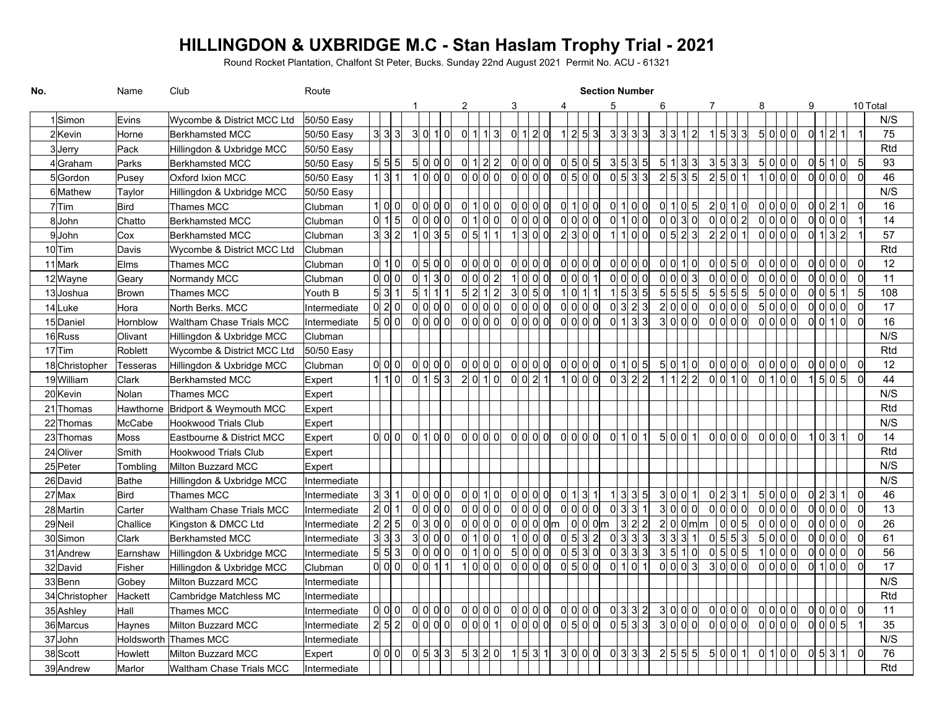## **HILLINGDON & UXBRIDGE M.C - Stan Haslam Trophy Trial - 2021**

Round Rocket Plantation, Chalfont St Peter, Bucks. Sunday 22nd August 2021 Permit No. ACU - 61321

| No.            | Name          | Club                              | Route        |               |       |                 |                 |   | <b>Section Number</b> |                     |  |                                              |  |                     |   |       |                                                  |         |   |  |                    |     |     |                      |   |                                            |  |                 |  |   |                     |                                                            |                |          |            |
|----------------|---------------|-----------------------------------|--------------|---------------|-------|-----------------|-----------------|---|-----------------------|---------------------|--|----------------------------------------------|--|---------------------|---|-------|--------------------------------------------------|---------|---|--|--------------------|-----|-----|----------------------|---|--------------------------------------------|--|-----------------|--|---|---------------------|------------------------------------------------------------|----------------|----------|------------|
|                |               |                                   |              |               |       |                 |                 | 2 |                       |                     |  | 3                                            |  |                     | 4 |       |                                                  |         | 5 |  |                    |     |     |                      | 7 |                                            |  | 8               |  | 9 |                     |                                                            |                | 10 Total |            |
| 1 Simon        | Evins         | Wycombe & District MCC Ltd        | 50/50 Easy   |               |       |                 |                 |   |                       |                     |  |                                              |  |                     |   |       |                                                  |         |   |  |                    |     |     |                      |   |                                            |  |                 |  |   |                     |                                                            |                |          | N/S        |
| 2Kevin         | Horne         | <b>Berkhamsted MCC</b>            | 50/50 Easy   | 3 3 3         |       |                 | 3 0 1 0         |   |                       | 0 1 13              |  | 0 1 2 0                                      |  |                     |   |       | 1 2 5 3                                          |         |   |  | 3 3 3 3            |     | 3 3 | 12                   |   | $1 \, 5 \, 3 \, 3$                         |  | 5 0 0 0         |  |   | $0 \vert 1 \vert 2$ |                                                            |                |          | 75         |
| 3Jerry         | Pack          | Hillingdon & Uxbridge MCC         | 50/50 Easy   |               |       |                 |                 |   |                       |                     |  |                                              |  |                     |   |       |                                                  |         |   |  |                    |     |     |                      |   |                                            |  |                 |  |   |                     |                                                            |                |          | Rtd        |
| 4 Graham       | Parks         | <b>Berkhamsted MCC</b>            | 50/50 Easy   | 5 5 5         |       |                 | 5 이 이 이         |   |                       | 0 1 2 2             |  | 0 0 0 0                                      |  |                     |   |       | 이 키 이 키                                          |         |   |  | 3 5 3 5            |     |     | 5 1 3 3              |   | 3 5 3 3                                    |  | 5 0 0 0         |  |   |                     | $\begin{array}{c} 0 \mid 5 \mid 1 \mid 0 \mid \end{array}$ | 5              |          | 93         |
| 5Gordon        | Pusey         | Oxford Ixion MCC                  | 50/50 Easy   | 1 3 1         |       |                 | 1 0 0 0         |   |                       | ol ol ol ol         |  | 이이이이                                         |  |                     |   |       | $ 0 $ 5 $ 0 $                                    |         |   |  | $ 0 $ 5 $ 3 $ 3    |     |     | 2 5 3 5              |   | 2 5 0 1                                    |  | $1$ ol ol ol    |  |   |                     | ol ol ol ol                                                | $\overline{0}$ |          | 46         |
| 6Mathew        | Taylor        | Hillingdon & Uxbridge MCC         | 50/50 Easy   |               |       |                 |                 |   |                       |                     |  |                                              |  |                     |   |       |                                                  |         |   |  |                    |     |     |                      |   |                                            |  |                 |  |   |                     |                                                            |                |          | N/S        |
| 7Tim           | <b>Bird</b>   | <b>Thames MCC</b>                 | Clubman      | $11$ OI OI    |       |                 | 이이이이            |   |                       | $ 0 $ 1 $ 0 $ 0     |  | 이이이이                                         |  |                     |   |       | 0 1 0 0                                          |         |   |  | 0 1 0 0            |     |     | 0 1 0 5              |   | 2 0 1 0                                    |  | 0 0 0 0         |  |   |                     | $\vert$ 1                                                  | $\overline{0}$ |          | 16         |
| 8John          | Chatto        | <b>Berkhamsted MCC</b>            | Clubman      | 0 1 5         |       |                 | ol ol ol ol     |   |                       | 0 1 0 0             |  | 0 0 0 0                                      |  |                     |   |       | ol ol ol ol                                      |         |   |  | 0 1 0 0            |     |     | ol ol 3l ol          |   | 0 0 0 2                                    |  | ol ol ol ol     |  |   |                     | ol ol ol ol                                                |                |          | 14         |
| 9John          | Cox           | <b>Berkhamsted MCC</b>            | Clubman      | 3 3 2         |       |                 | 1 0 3 5         |   |                       | 0 5 1 1             |  | 1300                                         |  |                     |   |       | 2 3 0 0                                          |         |   |  | 1100               |     |     | $\overline{0}$ 5 2 3 |   | 2 2 0 1                                    |  | 0 0 0           |  |   |                     | 0 1 3 2                                                    |                |          | 57         |
| $10$ Tim       | Davis         | Wycombe & District MCC Ltd        | Clubman      |               |       |                 |                 |   |                       |                     |  |                                              |  |                     |   |       |                                                  |         |   |  |                    |     |     |                      |   |                                            |  |                 |  |   |                     |                                                            |                |          | Rtd        |
| 11 Mark        | Elms          | <b>Thames MCC</b>                 | Clubman      | 01101         |       |                 | $ 0 $ 5 $ 0 $   |   |                       | 0 0 0 0             |  | 0 0 0 0                                      |  |                     |   |       | 0 0 0 0                                          |         |   |  | 0 0 0 0            |     |     | 0 0 1 0              |   | 0 0 5 0                                    |  | 0 0 0 0         |  |   |                     | 이이이이                                                       | $\overline{0}$ |          | 12         |
| 12Wayne        | Geary         | Normandy MCC                      | Clubman      | ol ol ol      |       | 0 <sup> 1</sup> | 30              |   |                       | 0 0 0 2             |  | 1 0 0 0                                      |  |                     |   | 0 0 0 |                                                  |         |   |  | 0 0 0 0            |     | 0   | 0 3                  |   | 0 0 0 0                                    |  | 0 0 0 0         |  |   |                     | 0 0 0                                                      | $\overline{0}$ |          | 11         |
| 13Joshua       | Brown         | Thames MCC                        | Youth B      | 5 3 1         |       | 5 1             | 111             |   |                       | 5 2 1 2             |  | 3 0 5 0                                      |  |                     |   |       | 1 0 1 1                                          |         |   |  | $1 \, 5 \, 3 \, 5$ |     | 5 5 | 5 5                  |   | 5 5 5 5                                    |  | 5 0 0 0         |  |   |                     | $\begin{array}{c} 0 \ 0 \ 5 \ 1 \end{array}$               | -5             |          | 108        |
| 14Luke         | Hora          | North Berks. MCC                  | Intermediate | $ 0 $ 2 $ 0 $ |       |                 |                 |   |                       | 0 0 0 0             |  | 0 0 0                                        |  |                     |   |       | 이이이이                                             |         |   |  | 0 3 2 3            |     |     | 2000                 |   |                                            |  | 5000            |  |   |                     | 0 0 0 0                                                    | - 0            |          | 17         |
| 15Daniel       | Hornblow      | Waltham Chase Trials MCC          | Intermediate | 5 0 0         |       |                 | 0 0 0           |   |                       | 0 0 0 0             |  | 0 0 0                                        |  |                     |   |       | 0 0 0 0                                          |         |   |  | 0 1 3 3            |     |     | 3000                 |   | 0 0 0 0                                    |  | $\log$ ol ol ol |  |   |                     | olol 1                                                     | $\Omega$       |          | 16         |
| 16Russ         | Olivant       | Hillingdon & Uxbridge MCC         | Clubman      |               |       |                 |                 |   |                       |                     |  |                                              |  |                     |   |       |                                                  |         |   |  |                    |     |     |                      |   |                                            |  |                 |  |   |                     |                                                            |                |          | N/S        |
| $17$ Tim       | Roblett       | Wycombe & District MCC Ltd        | 50/50 Easy   |               |       |                 |                 |   |                       |                     |  |                                              |  |                     |   |       |                                                  |         |   |  |                    |     |     |                      |   |                                            |  |                 |  |   |                     |                                                            |                |          | Rtd        |
| 18 Christopher | Tesseras      | Hillingdon & Uxbridge MCC         | Clubman      | $ 0 $ $ 0 $   |       |                 | 0 0 0 0         |   |                       | 0 0 0 0             |  | 0 0 0 0                                      |  |                     |   |       | 0 0 0 0                                          |         |   |  | 0 1 0 5            |     | 5 0 | 1 0                  |   | 0 0 0 0                                    |  | $\log$ ol ol ol |  |   |                     | 0 0 0 0                                                    | $\overline{0}$ |          | 12         |
| 19William      | Clark         | Berkhamsted MCC                   | Expert       | $1$ 1 0       |       |                 | 0 1 5 3         |   |                       | 2 0 1 0             |  | $\begin{array}{c} 0 \ 0 \ 2 \ 1 \end{array}$ |  |                     |   |       | 1 0 0 0                                          |         |   |  | 0 3 2 2            |     |     | 1 1 2 2              |   | 0 0 1 0                                    |  | 0 1 0 0         |  |   |                     | 1 5 0 5                                                    | $\overline{0}$ |          | 44         |
| 20 Kevin       | Nolan         | <b>Thames MCC</b>                 | Expert       |               |       |                 |                 |   |                       |                     |  |                                              |  |                     |   |       |                                                  |         |   |  |                    |     |     |                      |   |                                            |  |                 |  |   |                     |                                                            |                |          | N/S        |
| 21 Thomas      |               | Hawthorne Bridport & Weymouth MCC | Expert       |               |       |                 |                 |   |                       |                     |  |                                              |  |                     |   |       |                                                  |         |   |  |                    |     |     |                      |   |                                            |  |                 |  |   |                     |                                                            |                |          | Rtd        |
| 22 Thomas      | <b>McCabe</b> | Hookwood Trials Club              | Expert       |               |       |                 |                 |   |                       |                     |  |                                              |  |                     |   |       |                                                  |         |   |  |                    |     |     |                      |   |                                            |  |                 |  |   |                     |                                                            |                |          | N/S        |
| 23 Thomas      | Moss          | Eastbourne & District MCC         | Expert       | ol ol ol      |       |                 | 0 1 0 0         |   |                       | 0 0 0 0             |  | 이이이이                                         |  |                     |   |       | 0 0 0                                            |         |   |  | 0 1 0 1            |     |     | 5 0 0 1              |   | ol ol ol ol                                |  | ol ol ol ol     |  |   | 1 0 3               | 1                                                          | $\overline{0}$ |          | 14         |
| 24 Oliver      | Smith         | <b>Hookwood Trials Club</b>       | Expert       |               |       |                 |                 |   |                       |                     |  |                                              |  |                     |   |       |                                                  |         |   |  |                    |     |     |                      |   |                                            |  |                 |  |   |                     |                                                            |                |          | <b>Rtd</b> |
| 25 Peter       | Tombling      | Milton Buzzard MCC                | Expert       |               |       |                 |                 |   |                       |                     |  |                                              |  |                     |   |       |                                                  |         |   |  |                    |     |     |                      |   |                                            |  |                 |  |   |                     |                                                            |                |          | N/S        |
| 26 David       | Bathe         | Hillingdon & Uxbridge MCC         | Intermediate |               |       |                 |                 |   |                       |                     |  |                                              |  |                     |   |       |                                                  |         |   |  |                    |     |     |                      |   |                                            |  |                 |  |   |                     |                                                            |                |          | N/S        |
| $27$ Max       | Bird          | Thames MCC                        | Intermediate | 3 3 1         |       |                 | 0 0 0 0         |   |                       | 0 0 1 0             |  | 0 0 0 0                                      |  |                     |   |       | 0 1 3 1                                          |         |   |  | 1 3 3 5            |     | 3 0 | 0 1                  |   | 0 2 3 1                                    |  | 5 0 0 0         |  |   |                     | 0 2 3 1                                                    | $\overline{0}$ |          | 46         |
| 28 Martin      | Carter        | Waltham Chase Trials MCC          | Intermediate | 2 0 1         |       |                 | $\log$ ol ol ol |   |                       | ol ol ol ol         |  | 0 0 0 0                                      |  |                     |   |       | ol ol ol ol                                      |         |   |  | 0 3 3 1            |     | 3 0 | 0 0                  |   | 0 0 0 0                                    |  | $\log$ ol ol ol |  |   |                     | 0 0 0                                                      | $\overline{0}$ |          | 13         |
| 29Neil         | Challice      | Kingston & DMCC Ltd               | Intermediate | 2 2 5         |       |                 | ol 3ol 0ol      |   |                       | $ol$ $ol$ $ol$ $ol$ |  |                                              |  | $ 0 $ $ 0 $ $ 0 $ m |   |       |                                                  | 0 0 0 m |   |  | 3 2 2              |     |     | 2 0 0 m m            |   | 0 0 5                                      |  | ol ol ol ol     |  |   |                     | ol ol ol ol                                                | $\overline{0}$ |          | 26         |
| 30Simon        | Clark         | <b>Berkhamsted MCC</b>            | Intermediate | 3 3 3         |       |                 | 3 0 0 0         |   |                       | 0 1 0 0             |  | 1 0                                          |  | 0 <sub>0</sub>      |   |       | $ 0 $ 5 3 2                                      |         |   |  | 0 3 3 3            | 3 3 |     | 3 1                  |   | 0 5 5 3                                    |  | 5 0 0 0         |  |   |                     | 0 0 0                                                      | $\overline{0}$ |          | 61         |
| 31 Andrew      | Earnshaw      | Hillingdon & Uxbridge MCC         | Intermediate | 5 5 3         | ol ol |                 | 0 0             |   |                       | $ 0 $ 1 $ 0 $ 0     |  | 5 이 이 이                                      |  |                     |   |       | 이 키 3 이                                          |         |   |  | $ 0 $ 3 3 3        | 3 5 |     | 10                   |   | $ 0 $ 5 $ 0 $ 5                            |  | 1 0 0 0         |  |   |                     | ol ol ol ol                                                | $\overline{0}$ |          | 56         |
| 32 David       | Fisher        | Hillingdon & Uxbridge MCC         | Clubman      | ol ol ol      |       |                 | 0 0 1 1         |   |                       | 1 0 0 0             |  | 0 0 0                                        |  |                     |   |       | $ 0 $ 5 $ 0 $                                    |         |   |  | 0 1 0 1            |     |     | 0 0 0 3              |   | 3 0 0 0                                    |  | ol ol ol ol     |  |   |                     | 0 1 0 0                                                    |                |          | 17         |
| 33Benn         | Gobey         | <b>Milton Buzzard MCC</b>         | Intermediate |               |       |                 |                 |   |                       |                     |  |                                              |  |                     |   |       |                                                  |         |   |  |                    |     |     |                      |   |                                            |  |                 |  |   |                     |                                                            |                |          | N/S        |
| 34 Christopher | Hackett       | Cambridge Matchless MC            | Intermediate |               |       |                 |                 |   |                       |                     |  |                                              |  |                     |   |       |                                                  |         |   |  |                    |     |     |                      |   |                                            |  |                 |  |   |                     |                                                            |                |          | Rtd        |
| 35 Ashley      | Hall          | Thames MCC                        | Intermediate | 0 0 0         |       |                 | 0 0 0 0         |   |                       | $ 0 $ $ 0 $ $ 0 $   |  | 이이이이                                         |  |                     |   |       | 0 0 0                                            |         |   |  | $ 0 $ 3 $ 2 $      |     |     | 3 0 0 0              |   | $\begin{array}{c} 0 \\ 0 \\ 0 \end{array}$ |  | 0 0 0 0         |  |   |                     | 0 0 0 0                                                    | 0              |          | 11         |
| 36 Marcus      | Haynes        | <b>Milton Buzzard MCC</b>         | Intermediate | 2 5 2         |       |                 | 0 0 0 0         |   |                       | $ol$ ol ol 1        |  | 0 0 0 0                                      |  |                     |   |       | <u>ol 5l ol ol</u>                               |         |   |  | $ 0 $ 5 $ 3 $ 3    |     |     | 3 0 0 0              |   | $\log$ ol ol ol                            |  | ol ol ol ol     |  |   |                     | ol ol ol 5l                                                |                |          | 35         |
| 37John         | Holdsworth    | Thames MCC                        | Intermediate |               |       |                 |                 |   |                       |                     |  |                                              |  |                     |   |       |                                                  |         |   |  |                    |     |     |                      |   |                                            |  |                 |  |   |                     |                                                            |                |          | N/S        |
| 38 Scott       | Howlett       | <b>Milton Buzzard MCC</b>         | Expert       | ol ol ol      |       |                 | $ 0 $ 5 $ 3 $ 3 |   |                       | 5 3 2 0             |  | 1 5 3 1                                      |  |                     |   |       | $\overline{3}$ o $\overline{0}$ o $\overline{0}$ |         |   |  | $ 0 $ 3 3 3        |     |     | 2 5 5 5              |   | 5 0 0 1                                    |  | 0 1 0 0         |  |   | $ 0 $ 5 $ 3 $       | $\vert$ 1                                                  | $\Omega$       |          | 76         |
| 39 Andrew      | Marlor        | Waltham Chase Trials MCC          | Intermediate |               |       |                 |                 |   |                       |                     |  |                                              |  |                     |   |       |                                                  |         |   |  |                    |     |     |                      |   |                                            |  |                 |  |   |                     |                                                            |                |          | <b>Rtd</b> |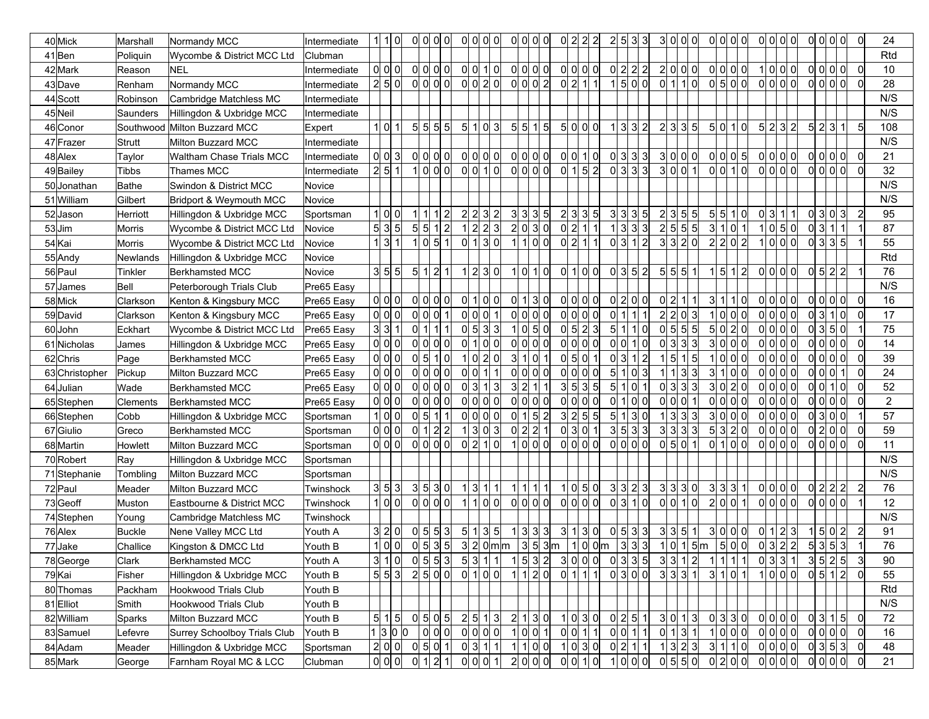| 40Mick         | Marshall      | Normandy MCC                       | Intermediate | 1   1   0      |                | 0 0     | 0 0              |  | 이 이 이 이                                    |   |     | 이 이 이 이                                          |         | 0 2                                                         | 2 2 |                                                   | 2 5 3 3   |                      | 3              | - 이 이 이                           |     | 이이이이            |                |  | 이 이 이 이           |    |     | 0 0 0 0                                      |         | - Ol           | 24             |
|----------------|---------------|------------------------------------|--------------|----------------|----------------|---------|------------------|--|--------------------------------------------|---|-----|--------------------------------------------------|---------|-------------------------------------------------------------|-----|---------------------------------------------------|-----------|----------------------|----------------|-----------------------------------|-----|-----------------|----------------|--|-------------------|----|-----|----------------------------------------------|---------|----------------|----------------|
| 41Ben          | Poliquin      | Wycombe & District MCC Ltd         | Clubman      |                |                |         |                  |  |                                            |   |     |                                                  |         |                                                             |     |                                                   |           |                      |                |                                   |     |                 |                |  |                   |    |     |                                              |         |                | Rtd            |
| 42Mark         | Reason        | <b>NEL</b>                         | Intermediate | $ol$ $ol$ $ol$ |                | 0 0     | 0                |  | 0 0 1 0                                    |   |     | 0 0 0 0                                          |         | 0 0 0 0                                                     |     |                                                   | 0 2 2 2   |                      |                | 2 0 0 0                           |     | 이이이이            |                |  | 1 0 0 0           |    |     | ol ol ol ol                                  |         | - 0l           | 10             |
| 43Dave         | Renham        | Normandy MCC                       | Intermediate | 2 5 0          |                |         | $\log$ o $\log$  |  | $\begin{array}{c} 0 \\ 0 \\ 2 \end{array}$ |   |     | $\overline{0}$ o $\overline{0}$ o $\overline{2}$ |         | 0 2 1 1                                                     |     |                                                   | 1500      |                      |                | $0 \mid 1 \mid 1 \mid 0$          |     | $ 0 $ 5 $ 0 $   |                |  | $\alpha$ ol ol ol |    |     | 0 0 0 0                                      |         | ി              | 28             |
| 44 Scott       | Robinson      | Cambridge Matchless MC             | Intermediate |                |                |         |                  |  |                                            |   |     |                                                  |         |                                                             |     |                                                   |           |                      |                |                                   |     |                 |                |  |                   |    |     |                                              |         |                | N/S            |
| 45Neil         | Saunders      | Hillingdon & Uxbridge MCC          | Intermediate |                |                |         |                  |  |                                            |   |     |                                                  |         |                                                             |     |                                                   |           |                      |                |                                   |     |                 |                |  |                   |    |     |                                              |         |                | N/S            |
| 46 Conor       |               | Southwood Milton Buzzard MCC       | Expert       | 1 0 1          |                |         | 5 5 5 5          |  | 5 1 0 3                                    |   |     | 5 5 15                                           |         | 5 이 이 이                                                     |     |                                                   | 1 3 3 2   |                      |                | 2 3 3 5                           |     | 5 이 1 이         |                |  | 5 2 3 2           |    |     | 5 2 3 1                                      |         | $5 \vert$      | 108            |
| 47 Frazer      | Strutt        | Milton Buzzard MCC                 | Intermediate |                |                |         |                  |  |                                            |   |     |                                                  |         |                                                             |     |                                                   |           |                      |                |                                   |     |                 |                |  |                   |    |     |                                              |         |                | N/S            |
| 48 Alex        | Taylor        | Waltham Chase Trials MCC           | Intermediate | 0 0 3          |                |         | 0 0 0 0          |  | $\begin{array}{c} 0 \\ 0 \end{array}$      |   |     | $\begin{array}{c} 0   0   0   0 \end{array}$     |         | $\overline{0}$ $\overline{0}$ $\overline{1}$ $\overline{0}$ |     |                                                   | 이 3 3 3   |                      |                | 3 0 0 0                           |     | 0 0 0 5         |                |  | 이이이이              |    |     | 0 0 0 0                                      |         | -01            | 21             |
| 49Bailey       | <b>Tibbs</b>  | Thames MCC                         | Intermediate | 2 5 1          |                |         | 1 0 0 0          |  | 0 0 1 0                                    |   |     | 0 0 0 0                                          |         | 0 1 5 2                                                     |     |                                                   | 0 3 3 3   |                      |                | 3 0 0 1                           |     | 0 0 1 0         |                |  | 0 0 0 0           |    |     | ol ol ol ol                                  |         | -ol            | 32             |
| 50Jonathan     | Bathe         | Swindon & District MCC             | Novice       |                |                |         |                  |  |                                            |   |     |                                                  |         |                                                             |     |                                                   |           |                      |                |                                   |     |                 |                |  |                   |    |     |                                              |         |                | N/S            |
| 51 William     | Gilbert       | <b>Bridport &amp; Weymouth MCC</b> | Novice       |                |                |         |                  |  |                                            |   |     |                                                  |         |                                                             |     |                                                   |           |                      |                |                                   |     |                 |                |  |                   |    |     |                                              |         |                | N/S            |
| 52Jason        | Herriott      | Hillingdon & Uxbridge MCC          | Sportsman    | 1 0 0          |                | 111     | 1 2              |  | 2 2 3 2                                    |   |     | 3 3 3 5                                          |         | 2 3                                                         | 3 5 |                                                   | 3 3 3 5   |                      | 2              | 3 5 5                             |     | 5 5 1 0         |                |  | 0 3 1 1           |    |     | $ 0 $ 3 $ 0 $ 3                              |         | $\overline{c}$ | 95             |
| 53Jim          | <b>Morris</b> | Wycombe & District MCC Ltd         | Novice       | 5 3 5          |                | 5 5     | 1 2              |  | 1 2 2 3                                    |   |     | 2 0 3 0                                          |         | 0 2                                                         | 111 |                                                   | 1 3 3 3   |                      | $2\vert$       | 5 5 5                             |     | 3 1 0           |                |  | 1 0 5 0           |    | 0 3 | 111                                          |         |                | 87             |
| 54 Kai         | <b>Morris</b> | Wycombe & District MCC Ltd         | Novice       | 1 3 1          |                | 1 0     | 5 1              |  | 0 1 3 0                                    |   |     | 1100                                             |         | 0 2 1 1                                                     |     |                                                   | 0 3 1 2   |                      | 3 <sup>1</sup> | 3 2 0                             |     | 2 2 0 2         |                |  | 1 0 0 0           | 0l |     | 3 3 5                                        |         |                | 55             |
| 55 Andy        | Newlands      | Hillingdon & Uxbridge MCC          | Novice       |                |                |         |                  |  |                                            |   |     |                                                  |         |                                                             |     |                                                   |           |                      |                |                                   |     |                 |                |  |                   |    |     |                                              |         |                | Rtd            |
| 56 Paul        | Tinkler       | <b>Berkhamsted MCC</b>             | Novice       | 3 5 5          | 5 <sup>1</sup> | 1       | 2 1              |  | 1 2 3 0                                    |   |     | 1 0 1 0                                          |         | $\begin{array}{c} 0 \mid 1 \mid 0 \mid 0 \mid \end{array}$  |     |                                                   | 0 3 5 2   |                      | 5 <sup>1</sup> | 5 5 1                             | 1 5 | 1               | $\overline{2}$ |  | 0 0 0             |    |     | $ 0 $ 5 $ 2 2 $                              |         |                | 76             |
| 57 James       | Bell          | Peterborough Trials Club           | Pre65 Easy   |                |                |         |                  |  |                                            |   |     |                                                  |         |                                                             |     |                                                   |           |                      |                |                                   |     |                 |                |  |                   |    |     |                                              |         |                | N/S            |
| 58Mick         | Clarkson      | Kenton & Kingsbury MCC             | Pre65 Easy   | 0 0 0          |                | 0 0     | 0 0              |  | 0 1 0 0                                    | 0 |     | 1 3 0                                            |         | 0 0                                                         | 0 0 |                                                   | 0 2 0 0   |                      | 0 <br>2        | 1I 1I                             | 3 1 |                 | 1 0            |  | 0 0 0 0           |    |     | 0 0 0 0                                      |         | 0              | 16             |
| 59David        | Clarkson      | Kenton & Kingsbury MCC             | Pre65 Easy   | 0 0 0          |                | 0 0     | $ 0 $ 1          |  | 0 0 0 1                                    |   |     | 0 0 0                                            |         | 0 0                                                         | 0 0 |                                                   | 0         | 111                  | $\overline{2}$ | 2 0 3                             | 1 0 |                 | 0 0            |  | 0 0 0 0           | 0l | 31  | 11 Ol                                        |         | $\Omega$       | 17             |
| 60John         | Eckhart       | Wycombe & District MCC Ltd         | Pre65 Easy   | 3 3 1          |                | 0 1     |                  |  | $ 0 $ 5 3 3                                |   |     | 1 0 5 0                                          |         | 0 5                                                         | 2 3 |                                                   | 5         | $ 0\rangle$<br>1   1 | 01             | 5 5 5                             |     | 5 0 2 0         |                |  | ol ol ol ol       | 0l |     | 350                                          |         |                | 75             |
| 61 Nicholas    | James         | Hillingdon & Uxbridge MCC          | Pre65 Easy   | 0 0 0          |                | 0 0     | 0                |  | 0 1 0 0                                    |   |     | 0 0 0 0                                          |         | ol ol                                                       | 0 0 |                                                   | 0 0 1 0   |                      | 0l             | 3 3 3                             | 3 0 |                 | 0  0           |  | ol ol ol ol       |    |     | ol ol ol ol                                  |         | $\overline{0}$ | 14             |
| 62Chris        | Page          | Berkhamsted MCC                    | Pre65 Easy   | 0 0 0          |                | $ 0 $ 5 | 1 0              |  | 1 0 2 0                                    |   | 3 1 | l ol 1                                           |         | 0 5                                                         | 0   | $\mathbf 1$                                       | 0 3 1 2   |                      |                | 5 1 5                             |     | 1000            |                |  | ol ol ol ol       |    |     | 0 0 0 0                                      |         | - 0l           | 39             |
| 63 Christopher | Pickup        | Milton Buzzard MCC                 | Pre65 Easy   | 0 0 0          |                | 0       | 0 0              |  | $\frac{1}{2}$ o $\frac{1}{2}$ 1            |   |     | 0 0 0 0                                          |         | ol ol                                                       | 0 0 |                                                   | 5 1 0 3   |                      |                | 3 3                               | 3 1 |                 | 0 0            |  | $ 0 $ $ 0 $ $ 0 $ |    | 0 0 | 0                                            |         | <sup>0</sup>   | 24             |
| 64 Julian      | Wade          | Berkhamsted MCC                    | Pre65 Easy   | ol ol ol       |                |         | ol ol ol ol      |  | $\frac{1}{3}$ 1 3                          |   |     | 3 2 1 1                                          |         | 3 5                                                         | 3 5 |                                                   | $5 \vert$ | 1 0 1                |                | 0 3 3 3                           |     | 3 0 2 0         |                |  | ol ol ol ol       |    | 0   | 1 0                                          |         | 0              | 52             |
| 65Stephen      | Clements      | <b>Berkhamsted MCC</b>             | Pre65 Easy   | 0 0 0          |                | 0 0     | 0                |  | 0 0 0 0                                    |   |     | 0 0 0 0                                          |         | 0 0 0 0                                                     |     |                                                   | 0 1 0 0   |                      |                | 0 0 0 1                           |     | 0 0 0 0         |                |  | ol ol ol ol       |    |     | 0 0 0 0                                      |         | $\overline{0}$ | $\overline{2}$ |
| 66 Stephen     | Cobb          | Hillingdon & Uxbridge MCC          | Sportsman    | 1 0 0          |                | $ 0 $ 5 | 1 1              |  | $ol$ $ol$ $ol$ $ol$                        |   |     | 0 1 5 2                                          |         | 3 2 5 5                                                     |     |                                                   | 5 1 3 0   |                      |                | 3 3 3                             |     | 3 0 0 0         |                |  | ol ol ol ol       |    |     | 0 3 0 0                                      |         |                | 57             |
| 67Giulio       | Greco         | <b>Berkhamsted MCC</b>             | Sportsman    | 0 0 0          |                |         | 0 1 2 2          |  | 1 3 0 3                                    |   |     | 0 2 2 1                                          |         | 0 3 0 1                                                     |     |                                                   | 3 5 3 3   |                      | 3 <sup>1</sup> | 3 3 3                             |     | 5 3 2 0         |                |  | ol ol ol ol       |    |     | 0 2 0 0                                      |         | $\overline{0}$ | 59             |
| 68Martin       | Howlett       | Milton Buzzard MCC                 | Sportsman    | 0 0 0          |                |         | 이이이이             |  | 0 2 1 0                                    |   |     | 1 0 0 0                                          |         | 0 0 0 0                                                     |     |                                                   |           |                      |                | $ 0 $ 5 $ 0 $ 1                   |     | 0 1 0 0         |                |  | 0 0 0 0           |    |     | 0 0 0 0                                      |         | - Ol           | 11             |
| 70 Robert      | Ray           | Hillingdon & Uxbridge MCC          | Sportsman    |                |                |         |                  |  |                                            |   |     |                                                  |         |                                                             |     |                                                   |           |                      |                |                                   |     |                 |                |  |                   |    |     |                                              |         |                | N/S            |
| 71Stephanie    | Tombling      | Milton Buzzard MCC                 | Sportsman    |                |                |         |                  |  |                                            |   |     |                                                  |         |                                                             |     |                                                   |           |                      |                |                                   |     |                 |                |  |                   |    |     |                                              |         |                | N/S            |
| 72 Paul        | Meader        | Milton Buzzard MCC                 | Twinshock    | 3 5 3          |                |         | 3 5 3 0          |  | 1 3 1 1                                    |   |     | 1 1 1 1                                          |         | $\overline{10}$ 5 0                                         |     |                                                   | 3 3 2 3   |                      |                | 3 3 3 0                           |     | 3 3 3 1         |                |  | 0 0 0 0           |    |     | 0 2 2 2                                      |         | $\overline{2}$ | 76             |
| 73Geoff        | Muston        | Eastbourne & District MCC          | Twinshock    | 1 0 0          |                |         | 0 0 0 0          |  | 1 1 0 0                                    |   |     | 0 0 0 0                                          |         | 0 0 0                                                       |     |                                                   |           |                      |                | 0 0 1 0                           |     | 2 0 0           |                |  | ol ol ol ol       |    |     | 0 0 0                                        |         |                | 12             |
| 74 Stephen     | Young         | Cambridge Matchless MC             | Twinshock    |                |                |         |                  |  |                                            |   |     |                                                  |         |                                                             |     |                                                   |           |                      |                |                                   |     |                 |                |  |                   |    |     |                                              |         |                | N/S            |
| 76 Alex        | <b>Buckle</b> | Nene Valley MCC Ltd                | Youth A      | 3 2 0          |                | $ 0 $ 5 | 5 3              |  | 5 1 3 5                                    |   |     | 1 3 3 3                                          |         | 3 1                                                         | 3 0 |                                                   | 0 5 3 3   |                      | 3 <sup>1</sup> | 3 5 1                             |     | 3 0 0 0         |                |  | 0 1 2 3           |    |     | 1 5 0 2                                      |         | $\overline{2}$ | 91             |
| 77Jake         | Challice      | Kingston & DMCC Ltd                | Youth B      | 1 0 0          |                | $ 0 $ 5 | 3 5              |  | 3 2 0 m m                                  |   |     |                                                  | 3 5 3 m |                                                             |     | 1 0 0 m                                           |           | 3 3 3                |                | 1 0 1 5 m                         |     | 5 0 0           |                |  | 0 3 2 2           |    | 5 3 | 5 3                                          |         |                | 76             |
| 78 George      | Clark         | Berkhamsted MCC                    | Youth A      |                |                |         |                  |  | 310005535311                               |   |     |                                                  |         |                                                             |     | 153230000335331211111<br>1120 0111 0300 3331 3101 |           |                      |                |                                   |     |                 |                |  |                   |    |     | 0 3 3 1 35 25                                |         | 3              | $90\,$         |
| 79Kai          | Fisher        | Hillingdon & Uxbridge MCC          | Youth B      | 5 5 3          |                |         | 2 5 0 0          |  |                                            |   |     |                                                  |         |                                                             |     |                                                   |           |                      |                |                                   |     |                 |                |  |                   |    |     | 100000512                                    |         | ol             | 55             |
| 80 Thomas      | Packham       | <b>Hookwood Trials Club</b>        | Youth B      |                |                |         |                  |  |                                            |   |     |                                                  |         |                                                             |     |                                                   |           |                      |                |                                   |     |                 |                |  |                   |    |     |                                              |         |                | Rtd            |
| 81 Elliot      | Smith         | <b>Hookwood Trials Club</b>        | Youth B      |                |                |         |                  |  |                                            |   |     |                                                  |         |                                                             |     |                                                   |           |                      |                |                                   |     |                 |                |  |                   |    |     |                                              |         |                | N/S            |
| 82William      | Sparks        | Milton Buzzard MCC                 | Youth B      | 5 1 5          |                |         | 이 키 이 키          |  | 2 5 1 3                                    |   |     | 2 1 3 0                                          |         | 1 0 3 0                                                     |     |                                                   | 0 2 5 1   |                      |                |                                   |     | 3 0 1 3 0 3 3 0 |                |  | 이이이이              |    |     | 0 3 1 5                                      |         | 0              | 72             |
| 83Samuel       | Lefevre       | Surrey Schoolboy Trials Club       | Youth B      |                |                |         | 1 3 0 0 0 0 0    |  |                                            |   |     | 1 0 0 1                                          |         | 0 0 1 1                                                     |     |                                                   | 0 0 1 1   |                      |                | 0 1 3 1                           |     | 1000            |                |  | 0 0 0             |    |     |                                              | 0 0 0 0 |                | 16             |
| 84 Adam        | Meader        | Hillingdon & Uxbridge MCC          | Sportsman    |                |                |         | $2 0 0 $ 0 5 0 1 |  | 0 3 1 1                                    |   |     | 1 1 0 0                                          |         | 1030                                                        |     |                                                   | 이 2 1 1   |                      |                |                                   |     | $1323$ $3110$   |                |  | 0 0 0             |    |     | 0 3 5 3                                      |         | 0              | 48             |
| 85Mark         | George        | Farnham Royal MC & LCC             | Clubman      | 0 0            |                |         | 0 1 2 1          |  | 0 0 0 1                                    |   |     | 2 이 이 이                                          |         |                                                             |     |                                                   | 1 0 0 0   |                      |                | $\overline{0}$ 5 5 $\overline{0}$ |     |                 |                |  |                   |    |     | $\begin{array}{c} 0   0   0   0 \end{array}$ |         | 0              | 21             |
|                |               |                                    |              |                |                |         |                  |  |                                            |   |     |                                                  |         |                                                             |     |                                                   |           |                      |                |                                   |     |                 |                |  |                   |    |     |                                              |         |                |                |